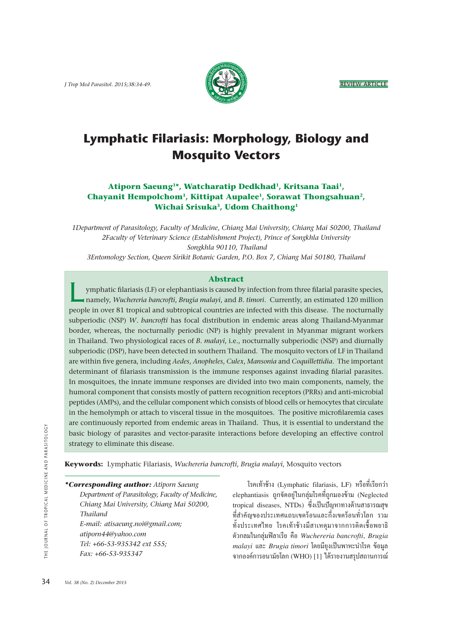*J Trop Med Parasitol. 2015:38:34-49.* REVIEW ARTICLE



# **Lymphatic Filariasis: Morphology, Biology and Mosquito Vectors**

## **Atiporn Saeung1\*, Watcharatip Dedkhad1, Kritsana Taai1, Chayanit Hempolchom1, Kittipat Aupalee1, Sorawat Thongsahuan2, Wichai Srisuka3, Udom Chaithong1**

*1Department of Parasitology, Faculty of Medicine, Chiang Mai University, Chiang Mai 50200, Thailand 2Faculty of Veterinary Science (Establishment Project), Prince of Songkhla University Songkhla 90110, Thailand 3Entomology Section, Queen Sirikit Botanic Garden, P.O. Box 7, Chiang Mai 50180, Thailand* 

#### **Abstract**

L ymphatic filariasis (LF) or elephantiasis is caused by infection from three filarial parasite species, namely, *Wuchereria bancrofti*, *Brugia malayi*, and *B*. *timori*. Currently, an estimated 120 million people in over 81 tropical and subtropical countries are infected with this disease. The nocturnally subperiodic (NSP) *W*. *bancrofti* has focal distribution in endemic areas along Thailand-Myanmar border, whereas, the nocturnally periodic (NP) is highly prevalent in Myanmar migrant workers in Thailand. Two physiological races of *B*. *malayi*, i.e., nocturnally subperiodic (NSP) and diurnally subperiodic (DSP), have been detected in southern Thailand. The mosquito vectors of LF in Thailand are within five genera, including *Aedes*, *Anopheles*, *Culex*, *Mansonia* and *Coquillettidia*. The important determinant of filariasis transmission is the immune responses against invading filarial parasites. In mosquitoes, the innate immune responses are divided into two main components, namely, the humoral component that consists mostly of pattern recognition receptors (PRRs) and anti-microbial peptides (AMPs), and the cellular component which consists of blood cells or hemocytes that circulate in the hemolymph or attach to visceral tissue in the mosquitoes. The positive microfilaremia cases are continuously reported from endemic areas in Thailand. Thus, it is essential to understand the basic biology of parasites and vector-parasite interactions before developing an effective control strategy to eliminate this disease.

**Keywords:** Lymphatic Filariasis, *Wuchereria bancrofti*, *Brugia malayi*, Mosquito vectors

*\*Corresponding author: Atiporn Saeung* 

 *Department of Parasitology, Faculty of Medicine, Chiang Mai University, Chiang Mai 50200, Thailand E-mail: atisaeung.noi@gmail.com; atiporn44@yahoo.com Tel: +66-53-935342 ext 555; Fax: +66-53-935347* basic biology of p<br>
strategy to elimina<br>  $\frac{2}{5}$ <br> **Example 18 Examples**<br> **Example 18 (Department of P**<br>
Chiang Mai Un<br>
Thailand<br>
E-mail: atisaeu<br>
atiporn44@yah<br>
Tel: +66-53-93<br>
Fax: +66-53-93<br>
Fax: +66-53-93<br>
Pul. 38 (No

โรคเท้าช้าง (Lymphatic filariasis, LF) หรือที่เรียกว่า elephantiasis ถูกจัดอยู่ในกลุ่มโรคที่ถูกมองข้าม (Neglected tropical diseases, NTDs) ซึ่งเป็นปัญหาทางด้านสาธารณสข ที่สำคัญของประเทศแถบเขตร้อนและกึ่งเขตร้อนทั่วโลก รวม *์*ทั้งประเทศไทย โรคเท้าช้างมีสาเหตุมาจากการติดเชื้อพยาธิ<br>ตัวกลมในกล่มฟิลาเรีย คือ Wuchereria bancrofti, Brugia *mala*yi และ *Brugia timori* โดยมียงเป็นพาหะนำโรค ข้อมล จากองค์การอนามัยโลก (WHO) [1] ได้รายงานสรปสถานการณ์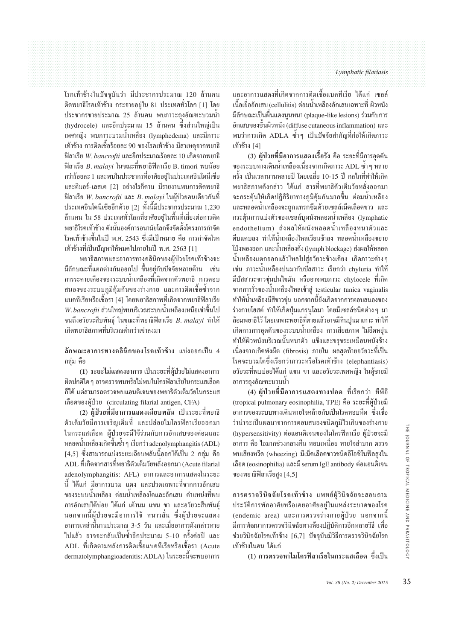โรคเท้าช้างในปัจจุบันว่า มีประชากรประมาณ 120 ถ้านคน ์ ติดพยาธิโรคเท้าช้าง กระจายอย่ใน 81 ประเทศทั่วโลก [1] โดย ประชากรชายประมาณ 25 ล้านคน พบภาวะถงอัณฑะบวมน้ำ (hydrocele) และอีกประมาณ 15 ล้านคน ซึ่งส่วนใหญ่เป็น เพศหญิง พบภาวะบวมน้ำเหลือง (lymphedema) และมีภาวะ เท้าช้าง การติดเชื้อร้อยละ 90 ของโรคเท้าช้าง มีสาเหตุจากพยาธิ ฟิลาเรีย W. bancrofti และอีกประมาณร้อยละ 10 เกิดจากพยาธิ ฟิลาเรีย *B. malavi* ในขณะที่พยาธิฟิลาเรีย B. timori พบน้อย ึกว่าร้อยละ 1 และพบในประชากรที่อาศัยอยู่ในประเทศอินโดนีเซีย และดิมอร์-เลสเต [2] อย่างไรก็ตาม มีรายงานพบการติดพยาธิ ฟิลาเรีย *W. bancrofti แ*ละ *B. malayi* ในผู้ป่วยคนเดียวกันที่ ประเทศอินโดนีเซียอีกด้วย [2] ทั้งนี้มีประชากรประมาณ 1,230 ถ้านคน ใน 58 ประเทศทั่วโลกที่อาศัยอยู่ในพื้นที่เสี่ยงต่อการติด ี พยาธิโรคเท้าช้าง ดังนั้นองค์การอนามัยโลกจึงจัดตั้งโครงการกำจัด โรคเท้าช้างขึ้นในปี พ.ศ. 2543 ซึ่งมีเป้าหมาย คือ การกำจัดโรค ้ เท้าช้างที่เป็นปัญหาให้หมดไปภายในปี พ.ศ. 2563 [1]

พยาธิสภาพและอาการทางคลินิกของผู้ป่วยโรคเท้าช้างจะ ้มีลักษณะที่แตกต่างกันออกไป จึ้นอยู่กับปัจจัยหลายด้าน เช่น ึการระคายเคืองของระบบน้ำเหลืองที่เกิดจากตัวพยาธิ การตอบ สนองของระบบภูมิค้มกันของร่างกาย และการติดเชื้อซ้ำจาก แบคทีเรียหรือเชื้อรา [4] โดยพยาธิสภาพที่เกิดจากพยาธิฟิลาเรีย W.*bancrofti* ส่วนใหญ่พบบริเวณระบบน้ำเหลืองเหนือเข่าขึ้นไป ้จนถึงอวัยวะสืบพันธ์ ในขณะที่พยาธิฟิลาเรีย *B. malavi ทำ*ให้ เกิดพยาธิสถาพที่บริเวกเต่ำกว่าเข่ากงบา

## ลักษณะอาการทางคลินิกของโรคเท้าช้าง แบ่งออกเป็น 4 ึกล่ม คือ

(1) ระยะไม่แสดงอาการ เป็นระยะที่ผ้ป่วยไม่แสดงอาการ ผิดปกติใด ๆ อาจตรวจพบหรือไม่พบไมโครฟิลาเรียในกระแสเลือด ้ก็ได้ แต่สามารถตรวจพบแอนติเจนของพยาธิตัวเต็มวัยในกระแส เลือดของผู้ป่วย (circulating filarial antigen, CFA)

(2) ผู้ป่วยที่มีอาการแสดงเฉียบพลัน เป็นระยะที่พยาธิ ้ตัวเต็มวัยมีการเจริญเต็มที่ และปล่อยไมโครฟิลาเรียออกมา ในกระแสเลือด ผู้ป่วยจะมีใช้ร่วมกับการอักเสบของต่อมและ หลอดน้ำเหลืองเกิดขึ้นซ้ำ ๆ เรียกว่า adenolymphangitis (ADL) [4,5] ซึ่งสามารถแบ่งระยะเฉียบพลันนี้ออกได้เป็น 2 กล่ม คือ ADL ที่เกิดจากสารที่พยาธิตัวเต็มวัยหลั่งออกมา (Acute filarial adenolymphangitis: AFL) อาการและอาการแสดงในระยะ นี้ ได้แก่ มีอาการบวม แดง และปวดเฉพาะที่จากการอักเสบ ของระบบน้ำเหลือง ต่อมน้ำเหลืองโตและอักเสบ ตำแหน่งที่พบ ึการอักเสบได้บ่อย ได้แก่ เต้านม แขน ขา และอวัยวะสืบพันธ์ นอกจากนี้ผู้ป่วยจะมีอาการใช้ หนาวสั่น ซึ่งผู้ป่วยจะแสดง อาการเหล่านี้นานประมาณ 3-5 วัน และเมื่ออาการดังกล่าวหาย ไปแล้ว อาจจะกลับเป็นซ้ำอีกประมาณ 5-10 ครั้งต่อปี และ ADL ที่เกิดตามหลังการติดเชื้อแบคทีเรียหรือเชื้อรา (Acute dermatolymphangioadenitis: ADLA) ในระยะนี้จะพบอาการ

และอาการแสดงที่เกิดจากการติดเชื้อแบคทีเรีย ได้แก่ เซลล์ ้ เนื้อเยื่ออักเสบ (cellulitis) ต่อมน้ำเหลืองอักเสบเฉพาะที่ ผิวหนัง ้มีลักษณะเป็นผื่นแดงนนหนา (plague-like lesions) ร่วมกับการ อักเสบของชั้นผิวหนัง (diffuse cutaneous inflammation) และ พบว่าการเกิด ADLA ซ้ำๆ เป็นปัจจัยสำคัญที่ก่อให้เกิดภาวะ เท้าช้าง [4]

(3) ผู้ป่วยที่มีอาการแสดงเรื้อรัง คือ ระยะที่มีการอดตัน ี ของระบบทางเดินน้ำเหลืองเนื่องจากเกิดภาวะ ADL ซ้ำ ๆ หลาย ี ครั้ง เป็นเวลานานหลายปี โดยเฉลี่ย 10-15 ปี กลไกที่ทำให้เกิด พยาธิสภาพดังกล่าว ได้แก่ สารที่พยาธิตัวเต็มวัยหลั่งออกมา ้จะกระต้นให้เกิดปฏิกิริยาทางภูมิค้มกันมากขึ้น ต่อมน้ำเหลือง ี และหลอดน้ำเหลืองจะถูกแทรกซึมด้วยเซลล์เม็ดเลือดขาว และ กระตุ้นการแบ่งตัวของเซลล์บุผนังหลอดน้ำเหลือง (lymphatic endothelium) ส่งผลให้ผนังหลอดน้ำเหลืองหนาตัวและ ี่ ตืบแคบลง ทำให้น้ำเหลืองไหลเวียนช้าลง หลอดน้ำเหลืองขยาย โป่งพองออก และน้ำเหลืองคั่ง (Ivmph blockage) ส่งผลให้หลอด น้ำเหลืองแตกออกแล้วไหลไปสู่อวัยวะข้างเคียง เกิดภาวะต่างๆ ้เช่น ภาวะน้ำเหลืองปนมากับปัสสาวะ เรียกว่า chvluria ทำให้ มีปัสสาวะขาวข่นปนไขมัน หรืออาจพบภาวะ chvlocele ที่เกิด จากการรั่วของน้ำเหลืองใหลเข้าสู่ testicular tunica vaginalis ้ ทำให้น้ำเหลืองมีสีขาวขุ่น นอกจากนี้ยังเกิดจากการตอบสนองของ ้ร่างกายโฮสต์ ทำให้เกิดปุ่มแกรนูโลมา โดยมีเซลล์ชนิดต่างๆ มา ้ ล้อมพยาธิไว้ โดยเฉพาะพยาธิที่ตายแล้วอาจมีหินปูนมาเกาะ ทำให้ ้เกิดการการอุดตันของระบบน้ำเหลือง การเสียสภาพ ไม่ยืดหย่น ทำให้ผิวหนังบริเวณนั้นหนาตัว แข็งและขรขระเหมือนหนังช้าง ี เนื่องจากเกิดพังผืด (fibrosis) ภายใน ผลสุดท้ายอวัยวะที่เป็น โรคจะบวมโตซึ่งเรียกว่าภาวะหรือโรคเท้าช้าง (elephantiasis) ้ อวัยวะที่พบบ่อยได้แก่ แขน ขา และอวัยวะเพศหญิง ในผู้ชายมี ้อาการถงอัณฑะบวมน้ำ

(4) ผ้ป่วยที่มีอาการแสดงทางปอด ที่เรียกว่า ทีพีอี (tropical pulmonary eosinophilia, TPE) คือ ระยะที่ผู้ป่วยมื ้อาการของระบบทางเดินหายใจคล้ายกับเป็นโรคหอบหืด ซึ่งเชื่อ ว่าน่าจะเป็นผลมาจากการตอบสนองชนิดภูมิใวเกินของร่างกาย (hypersensitivity) ต่อแอนติเจนของใมโครฟิลาเรีย ผู้ป่วยจะมี ิอาการ คือ ไอมากช่วงกลางคืน หอบเหนื่อย หายใจลำบาก ตรวจ พบเสียงหวีด (wheezing) มีเม็ดเลือดขาวชนิดอีโอซิโนฟิลสงใน เลือด (eosinophilia) และมี serum IgE antibody ต่อแอนติเจน ของพยาธิฟิลาเรียสูง [4,5]

การตรวจวินิจฉัยโรคเท้าช้าง แพทย์ผู้วินิจฉัยจะสอบถาม ประวัติการพักอาศัยหรือเคยอาศัยอยู่ในแหล่งระบาดของโรค (endemic area) และการตรวจร่างกายผู้ป่วย นอกจากนี้ ้มีการพัฒนาการตรวจวินิจฉัยทางห้องปฏิบัติการอีกหลายวิธี เพื่อ ช่วยวินิจฉัยโรคเท้าช้าง [6,7] ปัจจุบันมีวิธีการตรวจวินิจฉัยโรค ้เท้าช้างในคน ได้แก่

(1) การตรวจหาไมโครฟิลาเรียในกระแสเลือด ซึ่งเป็น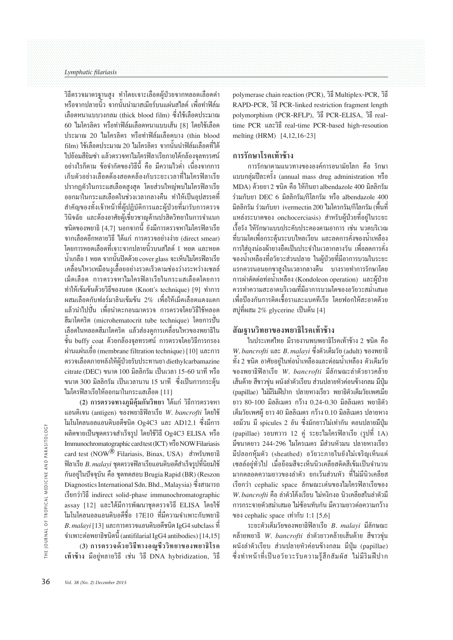#### Lymphatic filariasis

วิธีตรวจมาตรฐานสูง ทำโดยเจาะเลือดผู้ป่วยจากหลอดเลือดดำ หรือจากปลายนิ้ว จากนั้นนำมาสเมียร์บนแผ่นสไลด์ เพื่อทำฟิล์ม เลือดหนาแบบวงกลม (thick blood film) ซึ่งใช้เลือดประมาณ 60 ใมโครลิตร หรือทำฟิล์มเลือดหนาแบบเส้น [8] โดยใช้เลือด ประมาณ 20 ใมโครลิตร หรือทำฟิล์มเลือดบาง (thin blood film) ใช้เลือดประมาณ 20 ใมโครลิตร จากนั้นนำฟิล์มเลือดที่ได้ ไปย้อมสียิมซ่า แล้วตรวจหาไมโครฟิลาเรียภายใต้กล้องจลทรรศน์ ้อย่างไรก็ตาม ข้อจำกัดของวิธีนี้ คือ มีความไวต่ำ เนื่องจากการ ้เก็บตัวอย่างเลือดต้องสอดคล้องกับระยะเวลาที่ไมโครฟิลาเรีย ปรากฏตัวในกระแสเลือดสูงสุด โดยส่วนใหญ่พบไมโครฟิลาเรีย ออกมาในกระแสเลือดในช่วงเวลากลางคืน ทำให้เป็นอุปสรรคที่ สำคัญของทั้งเจ้าหน้าที่ผ้ปฏิบัติการและผู้ป่วยที่มารับการตรวจ วินิจฉัย และต้องอาศัยผู้เชี่ยวชาญด้านปรสิตวิทยาในการจำแนก ิชนิดของพยาธิ [4,7] นอกจากนี้ ยังมีการตรวจหาไมโครฟิลาเรีย จากเลือดอีกหลายวิธี ได้แก่ การตรวจอย่างง่าย (direct smear) โดยการหยดเลือดที่เจาะจากปลายนิ้วบนสไลด์ 1 หยด และหยด น้ำเกลือ 1 หยด จากนั้นปิดด้วย cover glass จะเห็นไมโครฟิลาเรีย ้เคลื่อนใหวเหมือนงเลื้อยอย่างรวดเร็วตามช่องว่างระหว่างเซลล์ ้เม็ดเลือด การตรวจหาไมโครฟิลาเรียในกระแสเลือดโดยการ ทำให้เข้มข้นด้วยวิธีของนอด (Knott's technique) [9] ทำการ ผสมเลือดกับฟอร์มาลินเข้มข้น 2% เพื่อให้เม็ดเลือดแดงแตก แล้วนำไปปั่น เพื่อนำตะกอนมาตรวจ การตรวจโดยวิธีใช้หลอด ฮีมาโตคริต (microhematocrit tube technique) โดยการปั่น ้เลือดในหลอดฮีมาโตคริต แล้วส่องดูการเคลื่อนใหวของพยาธิใน ชั้น buffy coat ด้วยกล้องจลทรรศน์ การตรวจโดยวิธีการกรอง ผ่านแผ่นเชื่อ (membrane filtration technique) [10] และการ ตรวจเลือดภายหลังให้ผู้ป่วยรับประทานยา diethylcarbamazine citrate (DEC) ขนาด 100 มิลลิกรัม เป็นเวลา 15-60 นาที หรือ ีขนาด 300 มิลลิกรัม เป็นเวลานาน 15 นาที ซึ่งเป็นการกระต้น ใมโครฟิลาเรียให้ออกมาในกระแสเลือด [11]

(2) การตรวจทางภูมิคุ้มกันวิทยา ได้แก่ วิธีการตรวจหา แอนติเจน (antigen) ของพยาธิฟิลาเรีย W. bancrofti โดยใช้ โมโนโคลนอลแอนติบอดีชนิด Og4C3 และ AD12.1 ซึ่งมีการ ผลิตขายเป็นชดตรวจสำเร็จรูป โดยใช้วิธี Og4C3 ELISA หรือ Immunochromatographic card test (ICT) หรือ NOW Filariasis card test (NOW<sup>®</sup> Filariasis, Binax, USA) สำหรับพยาธิ ฟิลาเรีย *B. mala*yi ชดตรวจฟิลาเรียแอนติบอดีสำเร็จรูปที่นิยมใช้ กันอยู่ในปัจจุบัน คือ ชุดทดสอบ Brugia Rapid (BR) (Reszon Diagnostics International Sdn. Bhd., Malaysia) ซึ่งสามารถ เรียกว่าวิธี indirect solid-phase immunochromatographic assay [12] และได้มีการพัฒนาชดตรวจวิธี ELISA โดยใช้ โมโนโคลนอลแอนติบอดีชื่อ 17E10 ที่มีความจำเพาะกับพยาธิ  $B.$  $m$ alayi [13] และการตรวจแอนติบอดีชนิด IgG4 subclass ที่ จำเพาะต่อพยาธิชนิดนี้ (antifilarial IgG4 antibodies) [14,15] (3) การตรวจด้วยวิธีทางอณชีววิทยาของพยาธิโรค เท้าช้าง มีอยู่หลายวิธี เช่น วิธี DNA hybridization, วิธี

polymerase chain reaction (PCR), วิธี Multiplex-PCR, วิธี RAPD-PCR,  $\hat{d}$  PCR-linked restriction fragment length polymorphism (PCR-RFLP), วิธี PCR-ELISA, วิธี realtime PCR และวิธี real-time PCR-based high-resoution melting (HRM) [4,12,16-23]

## การรักษาโรคเท้าช้าง

การรักษาตามแนวทางขององค์การอนามัยโลก คือ รักษา แบบกลุ่มปีละครั้ง (annual mass drug administration หรือ MDA) ด้วยยา 2 ชนิด คือ ให้กินยา albendazole 400 มิลลิกรัม ร่วมกับยา DEC 6 มิลลิกรัม/กิโลกรัม หรือ albendazole 400 ้มิลลิกรัม ร่วมกับยา ivermectin 200 ใมโครกรัม/กิโลกรัม (พื้นที่ แหล่งระบาดของ onchocerciasis) สำหรับผู้ป่วยที่อยู่ในระยะ เรื้อรัง ให้รักษาแบบประคับประคองตามอาการ เช่น นวดบริเวณ ที่บวมโตเพื่อกระด้นระบบไหลเวียน และลดการคั่งของน้ำเหลือง ิการใส่ถุงน่องผ้ายางยืดเป็นประจำในเวลากลางวัน เพื่อลดการคั่ง ีของน้ำเหลืองที่อวัยวะส่วนปลาย ในผ้ป่วยที่มีอาการบวมในระยะ แรกควรนอนยกขาสูงในเวลากลางคืน บางรายทำการรักษาโดย การผ่าตัดต่อท่อน้ำเหลือง (Kondoleon operation) และผู้ป่วย ิ ควรทำความสะอาดบริเวณที่มีอาการบวมโตของอวัยวะสม่ำเสมอ เพื่อป้องกันการติดเชื้อราและแบคทีเรีย โดยฟอกให้สะอาดด้วย สบู่ที่ผสม 2% glycerine เป็นต้น [4]

## สัณฐานวิทยาของพยาธิโรคเท้าช้าง

์<br>ในประเทศไทย มีรายงานพบพยาธิโรคเท้าช้าง 2 ชนิด คือ W. bancrofti และ B. malayi ซึ่งตัวเต็มวัย (adult) ของพยาธิ ้ ทั้ง 2 ชนิด อาศัยอยู่ในท่อน้ำเหลืองและต่อมน้ำเหลือง ตัวเต็มวัย ีของพยาธิฟิลาเรีย W. bancrofti มีลักษณะลำตัวยาวคล้าย ้เส้นด้าย สีขาวข่น ผนังลำตัวเรียบ ส่วนปลายหัวค่อนข้างกลม มีป่ม (papillae) ไม่มีริมฝีปาก ปลายหางเรียว พยาธิตัวเต็มวัยเพศเมี่ย ยาว 80-100 มิลลิเมตร กว้าง 0.24-0.30 มิลลิเมตร พยาธิตัว ้เต็มวัยเพศผู้ ยาว 40 มิลลิเมตร กว้าง 0.10 มิลลิเมตร ปลายหาง งอม้วน มี spicules 2 อัน ซึ่งมักยาวไม่เท่ากัน ตอนปลายมีปุ่ม (papillae) รอบทวาร 12 คู่ ระยะใมโครฟิลาเรีย (รูปที่ 1A) ้มีขนาดยาว 244-296 ใมโครเมตร มีส่วนหัวมน ปลายหางเรียว มีปลอกห้มตัว (sheathed) อวัยวะภายในยังไม่เจริญเห็นแต่ ี เซลล์อยู่ทั่วไป เมื่อย้อมสีจะเห็นนิวเคลียสติดสีเข้มเป็นจำนวน ้มากตลอดความยาวของลำตัว ยกเว้นส่วนหัว ที่ไม่มีนิวเคลียส เรียกว่า cephalic space ถักษณะเด่นของไมโครฟิลาเรียของ W. bancrofti คือ ลำตัวโค้งเรียบ ไม่หงิกงอ นิวเคลียสในลำตัวมี ิการกระจายตัวสม่ำเสมอ ไม่ซ้อนทับกัน มีความยาวต่อความกว้าง ของ cephalic space เท่ากับ 1:1 [5,6]

ระยะตัวเต็มวัยของพยาธิฟิลาเรีย  $B.$   $m$ alayi มีลักษณะ คล้ายพยาธิ W. bancrofti ถำตัวยาวคล้ายเส้นด้าย สีขาวข่น ผนังลำตัวเรียบ ส่วนปลายหัวค่อนข้างกลม มีป่ม (papillae) ซึ่งทำหน้าที่เป็นอวัยวะรับความรู้สึกสัมผัส ไม่มีริมฝีปาก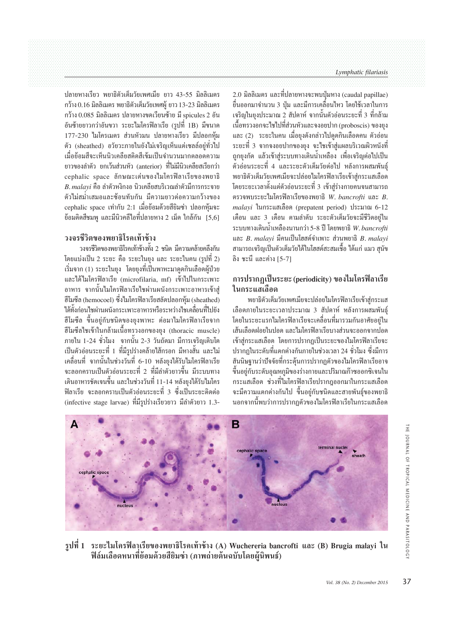ปลายหางเรียว พยาธิตัวเต็มวัยเพศเมีย ยาว 43-55 มิลลิเมตร ึกว้าง 0.16 มิลลิเมตร พยาธิตัวเต็มวัยเพศผ้ ยาว 13-23 มิลลิเมตร ึกว้าง 0.085 มิลลิเมตร ปลายหางขดเวียนซ้าย มี spicules 2 อัน อันซ้ายยาวกว่าอันขวา ระยะใมโครฟิลาเรีย (รูปที่ 1B) มีขนาด 177-230 ใมโครเมตร ส่วนหัวมน ปลายหางเรียว มีปลอกหุ้ม ตัว (sheathed) อวัยวะภายในยังไม่เจริญเห็นแต่เซลล์อยู่ทั่วไป ้เมื่อย้อมสีจะเห็นนิวเคลียสติดสีเข้มเป็นจำนวนมากตลอดความ ี่ ยาวของลำตัว ยกเว้นส่วนหัว (anterior) ที่ไม่มีนิวเคลียสเรียกว่า cephalic space ถักษณะเด่นของไมโครฟิลาเรียของพยาธิ  $B.$  $m$ alay $i$  คือ ลำตัวหงิกงอ นิวเคลียสบริเวณลำตัวมีการกระจาย ้ตัวไม่สม่ำเสมอและซ้อนทับกัน มีความยาวต่อความกว้างของ cephalic space เท่ากับ 2:1 เมื่อย้อมด้วยสียิมซ่า ปลอกหุ้มจะ ย้อมติดสีชมพู และมีนิวคลีไอที่ปลายหาง 2 เม็ด ใกล้กัน  $[5,6]$ 

## วงจรชีวิตของพยาธิโรคเท้าช้าง

วงจรชีวิตของพยาธิโรคเท้าช้างทั้ง 2 ชนิด มีความคล้ายคลึงกัน โดยแบ่งเป็น 2 ระยะ คือ ระยะในยง และ ระยะในคน (รูปที่ 2) ้เริ่มจาก (1) ระยะในยง โดยยงที่เป็นพาหะมาดุดกินเลือดผู้ป่วย และได้ไมโครฟิลาเรีย (microfilaria, mf) เข้าไปในกระเพาะ ้อาหาร จากนั้นไมโครฟิลาเรียไชผ่านผนังกระเพาะอาหารเข้าส่ ฮีโมซีล (hemocoel) ซึ่งไมโครฟิลาเรียสลัดปลอกหุ้ม (sheathed) ใด้ทั้งก่อนไชผ่านผนังกระเพาะอาหารหรือระหว่างไชเคลื่อนที่ไปยัง ้ฮีโมซีล ขึ้นอยู่กับชนิดของยุงพาหะ ต่อมาใมโครฟิลาเรียจาก ฮีโมซีลไชเข้าในกล้ามเนื้อทรวงอกของยุง (thoracic muscle) ิภายใน 1-24 ชั่วโมง จากนั้น 2-3 วันถัดมา มีการเจริญเติบโต เป็นตัวอ่อนระยะที่ 1 ที่มีรูปร่างคล้ายใส้กรอก มีหางสั้น และไม่ เคลื่อนที่ จากนั้นในช่วงวันที่ 6-10 หลังยุงได้รับไมโครฟิลาเรีย จะลอกคราบเป็นตัวอ่อนระยะที่ 2 ที่มีลำตั๋วยาวขึ้น มีระบบทาง ้เดินอาหารชัดเจนขึ้น และในช่วงวันที่ 11-14 หลังยงได้รับไมโคร ฟิลาเรีย จะลอกคราบเป็นตัวอ่อนระยะที่ 3 ซึ่งเป็นระยะติดต่อ (infective stage larvae) ที่มีรูปร่างเรียวยาว มีลำตัวยาว 1.32.0 มิลลิเมตร และที่ปลายหางจะพบปุ่มหาง (caudal papillae) ์ ขึ้นออกมาจำนวน 3 ป่ม และมีการเคลื่อนใหว โดยใช้เวลาในการ เจริญในยงประมาณ 2 สัปดาห์ จากนั้นตัวอ่อนระยะที่ 3 ที่กล้าม ้เนื้อทรวงอกจะไชไปที่ส่วนหัวและจงอยปาก (proboscis) ของยุง และ (2) ระยะในคน เมื่อยุงดังกล่าวไปดูดกินเลือดคน ตัวอ่อน ระยะที่ 3 จากจงอยปากของยุง จะไชเข้าสู่แผลบริเวณผิวหนังที่ ิถกยงกัด แล้วเข้าส่ระบบทางเดินน้ำเหลือง เพื่อเจริญต่อไปเป็น ์ ตัวอ่อนระยะที่ 4 และระยะตัวเต็มวัยต่อไป หลังการผสมพันธ์ พยาธิตัวเต็มวัยเพศเมียจะปล่อยใมโครฟิลาเรียเข้าสู่กระแสเลือด โดยระยะเวลาตั้งแต่ตัวอ่อนระยะที่ 3 เข้าสู่ร่างกายคนจนสามารถ ตรวจพบระยะไมโครฟิลาเรียของพยาธิ  $W$ . bancrofti และ  $B$ . malayi ในกระแสเลือด (prepatent period) ประมาณ 6-12 เดือน และ 3 เดือน ตามลำดับ ระยะตัวเต็มวัยจะมีชีวิตอยู่ใน ระบบทางเดินน้ำเหลืองนานกว่า 5-8 ปี โดยพยาธิ W. bancrofti และ B. malavi มีคนเป็นโฮสต์จำเพาะ ส่วนพยาธิ B. malavi ี่ สามารถเจริญเป็นตัวเต็มวัยได้ในโฮสต์สะสมเชื้อ ได้แก่ แมว สนัข ลิง ชะนี และค่าง [5-7]

## การปรากฏเป็นระยะ (periodicity) ของไมโครฟิลาเรีย ในกระแสเลือด

พยาธิตัวเต็มวัยเพศเมียจะปล่อยใมโครฟิลาเรียเข้าสู่กระแส เลือดภายในระยะเวลาประมาณ 3 สัปดาห์ หลังการผสมพันธ์ โดยในระยะแรกไมโครฟิลาเรียจะเคลื่อนที่มารวมกันอาศัยอย่ใน ้เส้นเลือดฝอยในปอด และไมโครฟิลาเรียบางส่วนจะออกจากปอด เข้าส่กระแสเลือด โดยการปรากฏเป็นระยะของไมโครฟิลาเรียจะ ี ปรากฏในระดับที่แตกต่างกันภายในช่วงเวลา 24 ชั่วโมง ซึ่งมีการ ้สันนิษฐานว่าปัจจัยที่กระด้นการปรากฏตัวของใมโครฟิลาเรียอาจ ์ขึ้นอย่กับระดับอณหภมิของร่างกายและปริมาณก๊าซออกซิเจนใน ิกระแสเลือด ช่วงที่ไมโครฟิลาเรียปรากภออกมาในกระแสเลือด ้จะมีความแตกต่างกันไป จี้นอยู่กับชนิดและสายพันธ์ของพยาธิ ึนอกจากนี้พบว่าการปรากฏตัวของใมโครฟิลาเรียในกระแสเลือด



รูปที่ 1 ระยะไมโครฟิลาเรียของพยาธิโรคเท้าช้าง (A) Wuchereria bancrofti และ (B) Brugia malayi ใน ฟิล์มเลือดหนาที่ย้อมด้วยสียิมซ่า (ภาพถ่ายต้นฉบับโดยผู้นิพนธ์)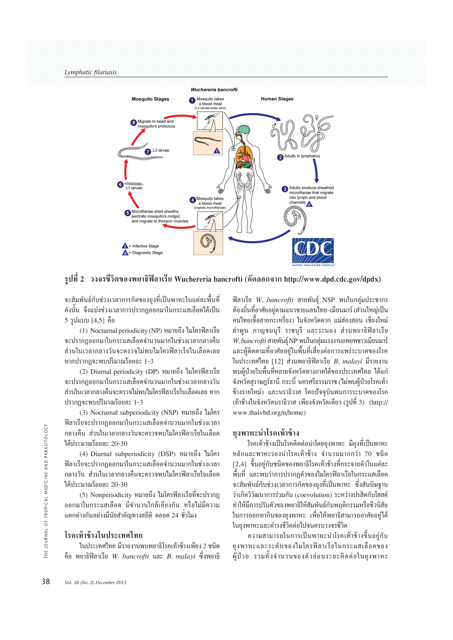

# รปที่ 2 วงจรชีวิตของพยาธิฟิลาเรีย Wuchereria bancrofti (คัดลอกจาก http://www.dpd.cdc.gov/dpdx)

้จะสัมพันธ์กับช่วงเวลาการกัดของยุงที่เป็นพาหะในแต่ละพื้นที่ ้ดังนั้น จึงแบ่งช่วงเวลาการปรากฏออกมาในกระแสเลือดได้เป็น 5 รปแบบ [4.5] คือ

(1) Nocturnal periodicity (NP) หมายถึง ใมโครฟิลาเรีย จะปรากฏออกมาในกระแสเลือดจำนวนมากในช่วงเวลากลางคืน ส่วนในเวลากลางวันจะตรวจไม่พบไมโครฟิลาเรียในเลือดเลย หากปรากฏจะพบปริมาณร้อยละ 1-3

(2) Diurnal periodicity (DP) หมายถึง ใมโครฟิลาเรีย จะปรากภออกมาในกระแสเลือดจำนวนมากในช่วงเวลากลางวัน ้ส่วนในเวลากลางคืนจะตรวจไม่พบไมโครฟิลาเรียในเลือดเลย หาก ปรากภจะพบปริมาณร้อยละ 1-3

(3) Nocturnal subperiodicity (NSP) หมายถึง ไมโคร ฟิลาเรียจะปรากภออกมาในกระแสเลือดจำนวนมากในช่วงเวลา ้กลางคืน ส่วนในเวลากลางวันจะตรวจพบไมโครฟิลาเรียในเลือด ได้ประมาณรักยละ 20-30

(4) Diurnal subperiodicity (DSP) หมายถึง ไมโคร ฟิลาเรียจะปรากภออกมาในกระแสเลือดจำนวนมากในช่วงเวลา ้กลางวัน ส่วนในเวลากลางคืนจะตรวจพบไมโครฟิลาเรียในเลือด ได้ประมาณรักยละ 20-30

(5) Nonperiodicity หมายถึง ไมโครฟิลาเรียที่จะปรากฏ ้ออกมาในกระแสเลือด มีจำนวนใกล้เคียงกัน หรือไม่มีความ ้แตกต่างกันอย่างมีนัยสำคัญทางสถิติ ตลอด 24 ชั่วโมง

## โรคเท้าช้างในประเทศไทย

ในประเทศไทย มีรายงานพบพยาธิโรคเท้าช้างเพียง 2 ชนิด คือ พยาธิฟิลาเรีย *W. bancrofti* และ *B. malavi ซึ่*งพยาธิ

ฟิลาเรีย W. bancrofti สายพันธุ์ NSP พบในกลุ่มประชากร ี ท้องถิ่นที่อาศัยอยู่ตามแนวชายแดนไทย-เมียนมาร์ (ส่วนใหญ่เป็น ิ คนไทยเชื้อสายกะเหรี่ยง) ในจังหวัดตาก แม่ฮ่องสอน เชียงใหม่ ้ถำพน กาญจนบรี ราชบรี และระนอง ส่วนพยาธิฟิลาเรีย W.*bancrofti* สายพันธ์ NP พบในกล่มแรงงานอพยพชาวเมียนมาร์ และผู้ติดตามที่อาศัยอยู่ในพื้นที่เสี่ยงต่อการแพร่ระบาดของโรค ในประเทศไทย [12] ส่วนพยาธิฟิลาเรีย *B. malayi* มีรายงาน ้พบผ้ป่วยในพื้นที่หลายจังหวัดทางภาคใต้ของประเทศไทย ได้แก่ ี จังหวัดสราษฎร์ธานี กระบี่ นครศรีธรรมราช (ไม่พบผู้ป่วยโรคเท้า ช้างรายใหม่) และนราธิวาส โดยปัจจบันพบการระบาดของโรค ู้ เท้าช้างในจังหวัดนราธิวาส เพียงจังหวัดเดียว (รูปที่ 3) (http:// www.thaivbd.org/n/home)

## ยงพาหะนำโรคเท้าช้าง

โรคเท้าช้างเป็นโรคติดต่อนำโดยยุงพาหะ มียุงที่เป็นพาหะ หลักและพาหะรองนำโรคเท้าช้าง จำนวนมากกว่า 70 ชนิด [2.4] ขึ้นอย่กับชนิดของพยาธิโรคเท้าช้างที่กระจายตัวในแต่ละ ์ พื้นที่ และพบว่าการปรากฏตัวของใมโครฟิลาเรียในกระแสเลือด ึ จะสัมพันธ์กับช่วงเวลาการกัดของยงที่เป็นพาหะ ซึ่งสันนิษฐาน ว่าเกิดวิวัฒนาการร่วมกัน (coevolution) ระหว่างปรสิตกับโฮสต์ ทำให้มีการปรับตัวของพยาธิให้สัมพันธ์กับพถติกรรมหรือชีวนิสัย ในการออกหากินของยุงพาหะ เพื่อให้พยาธิสามารถอาศัยอยู่ได้ ในยงพาหะและคำรงชีวิตต่อไปจนครบวงจรชีวิต

ความสามารถในการเป็นพาหะนำโรคเท้าช้างขึ้นอยู่กับ ียงพาหะและระดับของไมโครฟิลาเรียในกระแสเลือดของ ผู้ป่วย รวมทั้งจำนวนของตัวอ่อนระยะติดต่อในยงพาหะ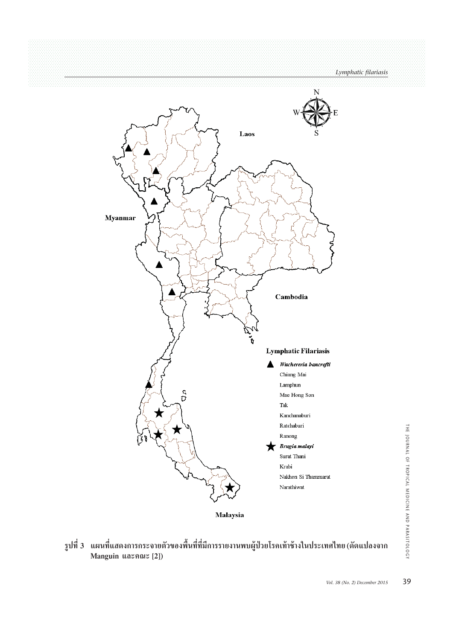

รูปที่ 3 แผนที่แสดงการกระจายตัวของพื้นที่ที่มีการรายงานพบผู้ป่วยโรคเท้าช้างในประเทศไทย (ดัดแปลงจาก Manguin และคณะ [2])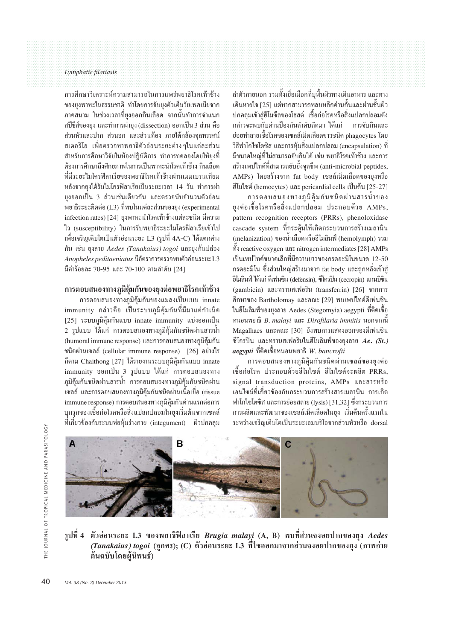#### Lymphatic filariasis

การศึกษาวิเคราะห์ความสามารถในการแพร่พยาธิโรคเท้าช้าง ของยงพาหะในธรรมชาติ ทำโดยการจับยงตัวเต็มวัยเพศเมียจาก ิภาคสนาม ในช่วงเวลาที่ยุงออกกินเลือด จากนั้นทำการจำแนก สปีชีส์ของยุง และทำการผ่ายุง (dissection) ออกเป็น 3 ส่วน คือ ส่วนหัวและปาก ส่วนอก และส่วนท้อง ภายใต้กล้องจุลทรรศน์ สเตอริโอ เพื่อตรวจหาพยาธิตัวอ่อนระยะต่างๆในแต่ละส่วน ้สำหรับการศึกษาวิจัยในห้องปฏิบัติการ ทำการทดลองโดยให้ยงที่ ต้องการศึกษาถึงศักยภาพในการเป็นพาหะนำโรคเท้าช้าง กินเลือด ที่มีระยะไมโครฟิลาเรียของพยาธิโรคเท้าช้างผ่านเมมเบรนเทียม หลังจากยุงได้รับไมโครฟิลาเรียเป็นระยะเวลา 14 วัน ทำการผ่า ยงออกเป็น 3 ส่วนเช่นเดียวกัน และตรวจนับจำนวนตัวอ่อน พยาธิระยะติดต่อ (L3) ที่พบในแต่ละส่วนของยง (experimental infection rates) [24] ยุงพาหะนำโรคเท้าช้างแต่ละชนิด มีความ ไว (susceptibility) ในการรับพยาธิระยะไมโครฟิลาเรียเข้าไป เพื่อเจริญเติบโตเป็นตัวอ่อนระยะ L3 (รูปที่ 4A-C) ได้แตกต่าง กัน เช่น ยุงลาย Aedes (Tanakaius) togoi และยุงก้นปล่อง Anopheles peditaeniatus มีอัตราการตรวจพบตัวอ่อนระยะ L3 มีค่าร้อยละ 70-95 และ 70-100 ตามลำดับ [24]

## การตอบสนองทางภมิค้มกันของยงต่อพยาธิโรคเท้าช้าง

การตอบสนองทางภูมิคุ้มกันของแมลงเป็นแบบ innate immunity กล่าวคือ เป็นระบบภูมิคุ้มกันที่มีมาแต่กำเนิด [25] ระบบภูมิคุ้มกันแบบ innate immunity แบ่งออกเป็น 2 รูปแบบ ได้แก่ การตอบสนองทางภูมิค้มกันชนิดผ่านสารน้ำ (humoral immune response) และการตอบสนองทางภูมิค้มกัน ชนิดผ่านเซลล์ (cellular immune response) [26] อย่างไร ก็ตาม Chaithong [27] ได้รายงานระบบภูมิคุ้มกันแบบ innate immunity ออกเป็น 3 รูปแบบ ได้แก่ การตอบสนองทาง ึภมิค้มกันชนิดผ่านสารน้ำ การตอบสนองทางภมิค้มกันชนิดผ่าน ้ ....<br>เซลล์ และการตอบสนองทางภูมิค้มกันชนิดผ่านเนื้อเยื่อ (tissue immune response) การตอบสนองทางภูมิคุ้มกันด่านแรกต่อการ บุกรุกของเชื้อก่อโรคหรือสิ่งแปลกปลอมในยุงเริ่มต้นจากเซลล์ ที่เกี่ยวข้องกับระบบห่อห้มร่างกาย (integument) ผิวปกคลม ์<br>ลำตัวภายนอก รวมทั้งเยื่อเมือกที่บุพื้นผิวทางเดินอาหาร และทาง ้เดินหายใจ [25] แต่หากสามารถหลบหลีกด่านกั้นและผ่านชั้นผิว ปกคลมเข้าส่ฮีโมซีลของโฮสต์ เชื้อก่อโรคหรือสิ่งแปลกปลอมดัง ึกล่าวจะพบกับด่านป้องกันลำดับถัดมา ได้แก่ การจับกินและ ย่อยทำลายเชื้อโรคของเซลล์เม็ดเลือดขาวชนิด phagocytes โดย วิธีฟาโกไซโตซิส และการหุ้มสิ่งแปลกปลอม (encapsulation) ที่ ้มีขนาดใหญ่ที่ไม่สามารถจับกินได้ เช่น พยาธิโรคเท้าช้าง และการ สร้างเพปใทด์ที่สามารถยับยั้งจลชีพ (anti-microbial peptides, AMPs) โดยสร้างจาก fat body เซลล์เม็ดเลือดของยงหรือ ฮีโมใซต์ (hemocytes) และ pericardial cells เป็นต้น [25-27]

การตอบสนองทางภูมิค้มกันชนิดผ่านสารน้ำของ ยงต่อเชื้อโรคหรือสิ่งแปลกปลอม ประกอบด้วย AMPs, pattern recognition receptors (PRRs), phenoloxidase cascade system ที่กระด้นให้เกิดกระบวนการสร้างเมลานิน (melanization) ของน้ำเลือดหรือฮีโมลิมฟ์ (hemolymph) รวม ทั้ง reactive oxygen และ nitrogen intermediates [28] AMPs เป็นเพปใทด์ขนาดเล็กที่มีความยาวของกรดอะมิโนขนาด 12-50 ิกรดอะมิโน ซึ่งส่วนใหญ่สร้างมาจาก fat body และถกหลั่งเข้าส่ ้ฮีโมลิมฟ์ ได้แก่ ดีเฟนซิน (defensin). ซีโครปิน (cecropin) แกมบิซิน (gambicin) และทรานสเฟอริน (transferrin) [26] จากการ ศึกษาของ Bartholomay และคณะ [29] พบเพปใทด์ดีเฟนซิน ในฮีโมลิมฟ์ของยุงลาย Aedes (Stegomyia) aegypti ที่ติดเชื้อ หนอนพยาธิ B. malavi และ Dirofilaria immitis นอกจากนี้ Magalhaes และคณะ [30] ยังพบการแสดงออกของดีเฟนซิน ซีโครปิน และทรานสเฟอรินในฮีโมลิมฟ์ของยงลาย  $Ae.$  (St.) aegypti ที่ติดเชื้อหนอนพยาธิ W. bancrofti

การตอบสนองทางภูมิคุ้มกันชนิดผ่านเซลล์ของยุงต่อ ้เชื้อก่อโรค ประกอบด้วยสีโมไซต์ สีโมไซต์จะผลิต PRRs. signal transduction proteins. AMPs และสารหรือ เอนไซม์ที่เกี่ยวข้องกับกระบวนการสร้างสารเมลานิน การเกิด ฟาโกใชโตซิส และการย่อยสลาย (Iysis) [31,32] ซึ่งกระบวนการ ิการผลิตและพัฒนาของเซลล์เม็ดเลือดในยุง เริ่มต้นครั้งแรกใน ระหว่างเจริญเติบโตเป็นระยะเอมบริโอจากส่วนหัวหรือ dorsal



## รูปที่ 4 ตัวอ่อนระยะ L3 ของพยาธิฟิลาเรีย *Brugia malayi* (A, B) พบที่ส่วนจงอยปากของยุง Aedes *(Tanakaius) togoi (*ลกศร); (C) ตัวอ่อนระยะ L3 ที่ใชออกมาจากส่วนจงอยปากของยง (ภาพถ่าย ต้นฉบับโดยผ้นิพนธ์)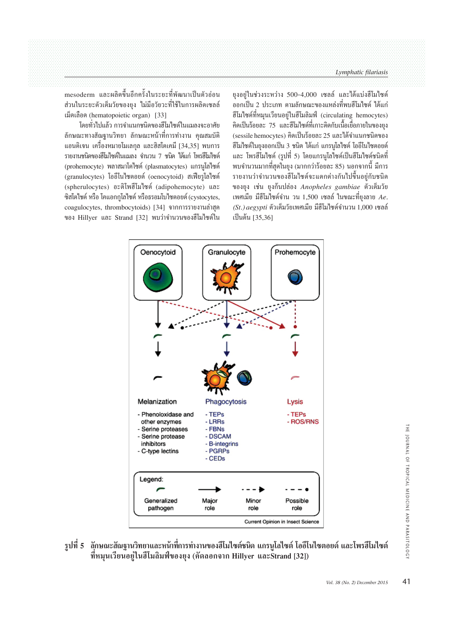mesoderm และผลิตขึ้นอีกครั้งในระยะที่พัฒนาเป็นตัวอ่อน ้ส่วนในระยะตัวเต็มวัยของยง ไม่มีอวัยวะที่ใช้ในการผลิตเซลล์ เม็ดเลือด (hematopoietic organ) [33]

โดยทั่วไปแล้ว การจำแนกชนิดของฮีโมไซต์ในแมลงจะอาศัย ี ลักษณะทางสัณฐานวิทยา ลักษณะหน้าที่การทำงาน คุณสมบัติ แอนดิเจน เครื่องหมายโมเลกุล และฮิสโตเคมี [34,35] พบการ รายงานชนิดของสีโมไซต์ในแมลง จำนวน 7 ชนิด ได้แก่ โพรสีโมไซต์ (prohemocyte) พลาสมาโตใซต์ (plasmatocytes) แกรนโลใซต์ (granulocytes) โออีโนไซตอยด์ (oenocytoid) สเฟียรโลไซต์ (spherulocytes) อะดิโพฮีโมไซต์ (adipohemocyte) และ ซิสโตใชต์ หรือ โคแอกกฺโลใซต์ หรือธรอมโบใซตอยด์ (cystocytes, coagulocytes, thrombocytoids) [34] จากการรายงานล่าสด ของ Hillyer และ Strand [32] พบว่าจำนวนของฮีโมใซต์ใน ยุงอยู่ในช่วงระหว่าง 500-4,000 เซลล์ และได้แบ่งฮีโมไซต์ ี ออกเป็น 2 ประเภท ตามลักษณะของแหล่งที่พบฮีโมไซต์ ได้แก่ ฮีโมไซต์ที่หมุนเวียนอยู่ในฮีโมลิมฟ์ (circulating hemocytes) ี คิดเป็นร้อยละ 75 และฮีโมไซต์ที่เกาะติดกับเนื้อเยื่อภายในของยุง (sessile hemocytes) คิดเป็นร้อยถะ 25 แถะได้จำแนกชนิดของ ้ฮีโมไซต์ในยุงออกเป็น 3 ชนิด ได้แก่ แกรนูโลไซต์ โออีโนไซตอยด์ ี และ โพรฮีโมไซต์ (รูปที่ 5) โดยแกรนโลไซต์เป็นฮีโมไซต์ชนิดที่ ี พบจำนวนมากที่สดในยง (มากกว่าร้อยละ 85) นอกจากนี้ มีการ ้รายงานว่าจำนวนของฮี่โมไซต์จะแตกต่างกันไปขึ้นอยู่กับชนิด ของยุง เช่น ยุงก้นปล่อง Anopheles gambiae ตัวเต็มวัย เพศเมีย มีฮีโมไซต์จำน วน 1,500 เซลล์ ในขณะที่ยงลาย  $Ae$ .  $(St.)$  aegypti ตัวเต็มวัยเพศเมีย มีฮีโมไซต์จำนวน 1,000 เซลล์ เป็นต้น [35.36]



รูปที่ 5 ลักษณะสัณฐานวิทยาและหน้าที่การทำงานของฮีโมไซต์ชนิด แกรนูโลไซต์ โออีโนไซตอยด์ และโพรฮีโมไซต์ ที่หมนเวียนอย่ในฮีโมลิมฟ์ของยง (คัดลอกจาก Hillyer และStrand [32])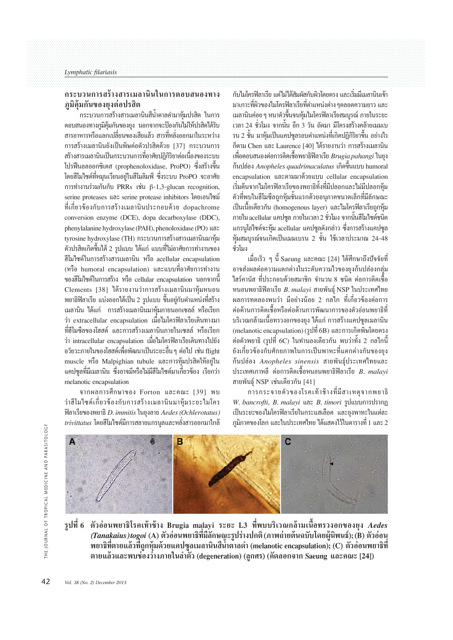## กระบวนการสร้างสารเมลานินในการตอบสนองทาง ภมิค้มกันของยงต่อปรสิต

้กระบวนการสร้างสารเมลานินสีน้ำตาลดำมาห้มปรสิต ในการ ิตอบสนองทางภูมิคุ้มกันของยุง นอกจากจะป้องกันไม่ให้ปรสิตได้รับ ิสารอาหารหรือแลกเปลี่ยนของเสียแล้ว สารที่หลั่งออกมาในระหว่าง การสร้างเมลานินยังเป็นพิษต่อตัวปรสิตด้วย [37] กระบวนการ สร้างสารเมลานินเป็นกระบวนการที่อาศัยปฏิกิริยาต่อเนื่องของระบบ โปรฟีนอลออกซิเดส (prophenoloxidase, ProPO) ซึ่งสร้างขึ้น โดยฮีโมไซต์ที่หมนเวียนอย่ในฮีโมลิมฟ์ ซึ่งระบบ ProPO จะอาศัย การทำงานร่วมกันกับ PRRs เช่น β-1,3-glucan recognition, serine proteases และ serine protease inhibitors โดยเอนไซม์ ที่เกี่ยวข้องกับการสร้างเมลานินประกอบด้วย dopachrome conversion enzyme (DCE), dopa decarboxylase (DDC), phenylalanine hydroxylase (PAH), phenoloxidase (PO) และ tyrosine hydroxylase (TH) กระบวนการสร้างสารเมลานินมาทัม ้ตัวปรสิตเกิดขึ้นได้ 2 รูปแบบ ได้แก่ แบบที่ไม่อาศัยการทำงานของ ฮีโมไซต์ในการสร้างสารเมลานิน หรือ acellular encapsulation (หรือ humoral encapsulation) และแบบที่อาศัยการทำงาน ของฮีโมไซต์ในการสร้าง หรือ cellular encapsulation นอกจากนี้ Clements [38] ได้รายงานว่าการสร้างเมลานินมาห้มหนอน พยาธิฟิลาเรีย แบ่งออกได้เป็น 2 รูปแบบ ขึ้นอยู่กับตำแหน่งที่สร้าง เมลานิน ได้แก่ การสร้างเมลานินมาหุ้มภายนอกเซลล์ หรือเรียก ว่า extracellular encapsulation เมื่อไมโครฟิลาเรียเดินทางมา ที่สี่โมซีลของโสสต์ และการสร้างเมลานินภายในเซลล์ หรือเรียก ว่า intracellular encapsulation เมื่อไมโครฟิลาเรียเดินทางไปยัง ือวัยวะภายในของโฮสต์เพื่อพัฒนาเป็นระยะอื่น ๆ ต่อไป เช่น flight muscle หรือ Malpighian tubule และการหุ้มปรสิตให้อยู่ใน แคปซลที่มีเมลานิน ซึ่งอาจมีหรือไม่มีฮีโมไซต์มาเกี่ยวข้อง เรียกว่า melanotic encapsulation

จากผลการศึกษาของ Forton และคณะ [39] พบ ว่าฮีโมไซต์เกี่ยวข้องกับการสร้างเมลานินมาห้มระยะไมโคร ฟิลาเรียของพยาธิ D. immitis ในยุงลาย Aedes (Ochlerotatus) trivittatus โดยฮีโมไซต์มีการสถายแกรนูลและหลั่งสารออกมาใกล้ ้กับไมโครฟิลาเรีย แต่ไม่ได้สัมผัสกับผิวโดยตรง และเริ่มมีเมลานินเข้า ่ มาเกาะที่ผิวของใมโครฟิลาเรียที่ตำแหน่งต่าง ๆตลอดความยาว และ ี เมลานินค่อย ๆ หนาตัวขึ้นจนห้มไมโครฟิลาเรียสมบรณ์ ภายในระยะ เวลา 24 ชั่วโมง จากนั้น อีก 3 วัน ถัดมา มีโครงสร้างคล้ายเมมเบ ้รน 2 ชั้น มาหุ้มเป็นแคปซูลรอบตำแหน่งที่เกิดปฏิกิริยาขึ้น อย่างไร ์ก็ตาม Chen และ Laurence [40] ใด้รายงานว่า การสร้างเมลานิน เพื่อตอบสนองต่อการติดเชื้อพยาธิฟิลาเรีย Brugia pahangi ในยง ้ก้นปล่อง Anopheles auadrimaculatus เกิดขึ้นแบบ humoral encapsulation และตามมาด้วยแบบ cellular encapsulation เริ่มต้นจากไมโครฟิลาเรียของพยาธิทั้งที่มีปลอกและไม่มีปลอกหุ้ม ้ตัวที่พบในฮีโมซีลถูกหัมชั้นแรกด้วยอนภาคขนาดเล็กที่มีลักษณะ เป็นเนื้อเดียวกัน (homogenous layer) และไมโครฟิลาเรียถกหัม ิภายใน acellular แคปซูล ภายในเวลา 2 ชั่วโมง จากนั้นฮีโมไซต์ชนิด แกรนูโลไซต์จะหุ้ม acellular แคปซูลดังกล่าว ซึ่งการสร้างแคปซูล ์ ห้มสมบรณ์จนเกิดเป็นเมมเบรน 2 ชั้น ใช้เวลาประมาณ 24-48 ู<br>ช้าโบง

ี เมื่อเร็ว ๆ นี้ Saeung และคณะ [24] ใด้ศึกษาถึงปัจจัยที่ อาจส่งผลต่อความแตกต่างในระดับความไวของยงก้นปล่องกล่ม ใฮร์คานัส ที่ประกอบด้วยสมาชิก จำนวน 8 ชนิด ต่อการติดเชื้อ หนอนพยาธิฟิลาเรีย  $B.$   $m$ alayi สายพันธ์ NSP ในประเทศไทย ผลการทดลองพบว่า มือย่างน้อย 2 กลไก ที่เกี่ยวข้องต่อการ ต่อต้านการติดเชื้อหรือต่อต้านการพัฒนาการของตัวอ่อนพยาธิที่ ้ บริเวณกล้ามเนื้อทรวงอกของยุง ได้แก่ การสร้างแคปซูลเมลานิน (melanotic encapsulation) (รูปที่  $6B$ ) และการเกิดพิษโดยตรง ี ต่อตัวพยาธิ (รูปที่ 6C) ในทำนองเดียวกัน พบว่าทั้ง 2 กลไกนี้ ้ยังเกี่ยวข้องกับศักยภาพในการเป็นพาหะที่แตกต่างกันของยุง ก้นปล่อง Anopheles sinensis สายพันธุ์ประเทศไทยและ ประเทศเกาหลี ต่อการติดเชื้อหนอนพยาธิฟิลาเรีย  $\emph{B. malayi}$ สายพันธ์ NSP เช่นเดียวกัน [41]

ิการกระจายตัวของโรคเท้าช้างที่มีสาเหต<sub>ิ</sub>จากพยาธิ W. bancrofti, B. malayi และ B. timori รูปแบบการปรากฏ เป็นระยะของไมโครฟิลาเรียในกระแสเลือด และยุงพาหะในแต่ละ ึภมิภาคของโลก และในประเทศไทย ได้แสดงไว้ในตารางที่ 1 และ 2



ตัวอ่อนพยาธิโรคเท้าช้าง Brugia malayi ระยะ L3 ที่พบบริเวณกล้ามเนื้อทรวงอกของยุง *Aedes* รปที่ 6 *(Tanakaius)togoi (*A) ตัวอ่อนพยาธิที่มีลักษณะรูปร่างปกติ (ภาพถ่ายต้นฉบับโดยผู้นิพนธ์); (B) ตัวอ่อนุ พยาธิที่ตายแล้วที่ถกห้มด้วยแกปซลเมลานินสีน้ำตาลดำ (melanotic encapsulation); (C) ตัวอ่อนพยาธิที่ ตายแล้วและพบช่องว่างภายในลำตัว (degeneration) (ลกศร) (คัดลอกจาก Saeung และคณะ [24])

42 Vol. 38 (No. 2) December 2015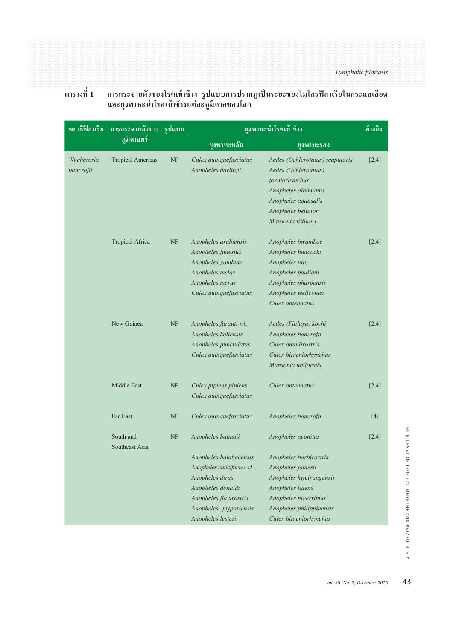# การกระจายตัวของโรคเท้าช้าง รูปแบบการปรากฏเป็นระยะของใมโครฟิลาเรียในกระแสเลือด<br>และยุงพาหะนำโรคเท้าช้างแต่ละภูมิภาคของโลก  $\overline{\phantom{1}}$ ตารางที่ 1

| <u>พยาธิฟิ</u> ลาเรีย   | การกระจายตัวทาง รูปแบบ      |                | ยุงพาหะนำโรคเท้าช้าง                                                                                                                                                   |                                                                                                                                                                          |       |
|-------------------------|-----------------------------|----------------|------------------------------------------------------------------------------------------------------------------------------------------------------------------------|--------------------------------------------------------------------------------------------------------------------------------------------------------------------------|-------|
|                         | ภูมิศาสตร์                  |                | ยุงพาหะหลัก                                                                                                                                                            | ยุงพาหะรอง                                                                                                                                                               |       |
| Wuchereria<br>bancrofti | <b>Tropical Americas</b>    | NP             | Culex quinquefasciatus<br>Anopheles darlingi                                                                                                                           | Aedes (Ochlerotatus) scapularis<br>Aedes (Ochlerotatus)<br>taeniorhynchus<br>Anopheles albimanus<br>Anopheles aquasalis<br>Anopheles bellator<br>Mansonia titillans      | [2,4] |
|                         | <b>Tropical Africa</b>      | NP             | Anopheles arabiensis<br>Anopheles funestus<br>Anopheles gambiae<br>Anopheles melas<br>Anopheles merus<br>Culex quinquefasciatus                                        | Anopheles bwambae<br>Anopheles hancocki<br>Anopheles nili<br>Anopheles pauliani<br>Anopheles pharoensis<br>Anopheles wellcomei<br>Culex antennatus                       | [2,4] |
|                         | New Guinea                  | NP             | Anopheles farauti s.l.<br>Anopheles koliensis<br>Anopheles punctulatus<br>Culex quinquefasciatus                                                                       | Aedes (Finlaya) kochi<br>Anopheles bancrofti<br>Culex annulirostris<br>Culex bitaeniorhynchus<br>Mansonia uniformis                                                      | [2,4] |
|                         | <b>Middle East</b>          | NP             | Culex pipiens pipiens<br>Culex quinquefasciatus                                                                                                                        | Culex antennatus                                                                                                                                                         | [2,4] |
|                         | Far East                    | NP             | Culex quinquefasciatus                                                                                                                                                 | Anopheles bancrofti                                                                                                                                                      | [4]   |
|                         | South and<br>Southeast Asia | N <sub>P</sub> | Anopheles baimaii                                                                                                                                                      | Anopheles aconitus                                                                                                                                                       | [2,4] |
|                         |                             |                | Anopheles balabacensis<br>Anopheles culicifacies s.l.<br>Anopheles dirus<br>Anopheles donaldi<br>Anopheles flavirostris<br>Anopheles jeyporiensis<br>Anopheles lesteri | Anopheles barbirostris<br>Anopheles jamesii<br>Anopheles kweiyangensis<br>Anopheles latens<br>Anopheles nigerrimus<br>Anopheles philippinensis<br>Culex bitaeniorhynchus |       |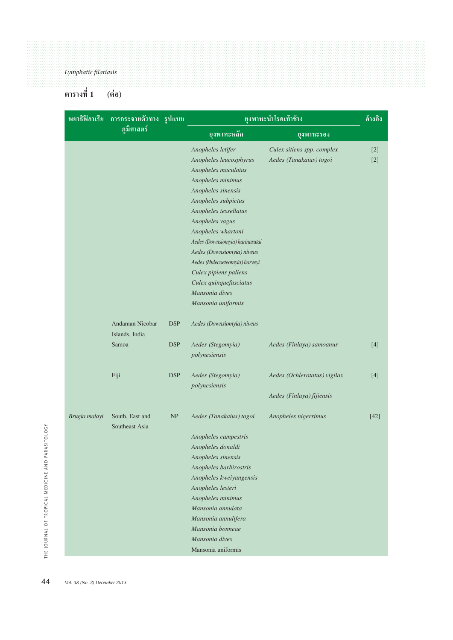#### ์ ตารางที่ 1  $(\vec{p}|\vec{v})$

| <u>พยาธิฟิลาเรีย</u> | <del>ี</del> การกระจายตัวทาง รูปแบบ |            | ยุงพาหะนำโรคเท้าช้าง                                                                                                                                                                                                                                                                                                                                                                                 |                                                       |                |
|----------------------|-------------------------------------|------------|------------------------------------------------------------------------------------------------------------------------------------------------------------------------------------------------------------------------------------------------------------------------------------------------------------------------------------------------------------------------------------------------------|-------------------------------------------------------|----------------|
|                      | ภูมิศาสตร์                          |            | ยุงพาหะหลัก                                                                                                                                                                                                                                                                                                                                                                                          | <u>ยุงพาหะรอง</u>                                     |                |
|                      |                                     |            | Anopheles letifer<br>Anopheles leucosphyrus<br>Anopheles maculatus<br>Anopheles minimus<br>Anopheles sinensis<br>Anopheles subpictus<br>Anopheles tessellatus<br>Anopheles vagus<br>Anopheles whartoni<br>Aedes (Downsiomyia) harinasutai<br>Aedes (Downsiomyia) niveus<br>Aedes (Hulecoeteomyia) harveyi<br>Culex pipiens pallens<br>Culex quinquefasciatus<br>Mansonia dives<br>Mansonia uniformis | Culex sitiens spp. complex<br>Aedes (Tanakaius) togoi | $[2]$<br>$[2]$ |
|                      | Andaman Nicobar<br>Islands, India   | <b>DSP</b> | Aedes (Downsiomyia) niveus                                                                                                                                                                                                                                                                                                                                                                           |                                                       |                |
|                      | Samoa                               | <b>DSP</b> | Aedes (Stegomyia)<br>polynesiensis                                                                                                                                                                                                                                                                                                                                                                   | Aedes (Finlaya) samoanus                              | $[4]$          |
|                      | Fiji                                | <b>DSP</b> | Aedes (Stegomyia)<br>polynesiensis                                                                                                                                                                                                                                                                                                                                                                   | Aedes (Ochlerotatus) vigilax                          | $[4]$          |
|                      |                                     |            |                                                                                                                                                                                                                                                                                                                                                                                                      | Aedes (Finlaya) fijiensis                             |                |
| Brugia malayi        | South, East and<br>Southeast Asia   | NP         | Aedes (Tanakaius) togoi<br>Anopheles campestris<br>Anopheles donaldi<br>Anopheles sinensis<br>Anopheles barbirostris<br>Anopheles kweiyangensis<br>Anopheles lesteri<br>Anopheles minimus<br>Mansonia annulata<br>Mansonia annulifera<br>Mansonia bonneae<br>Mansonia dives<br>Mansonia uniformis                                                                                                    | Anopheles nigerrimus                                  | $[42]$         |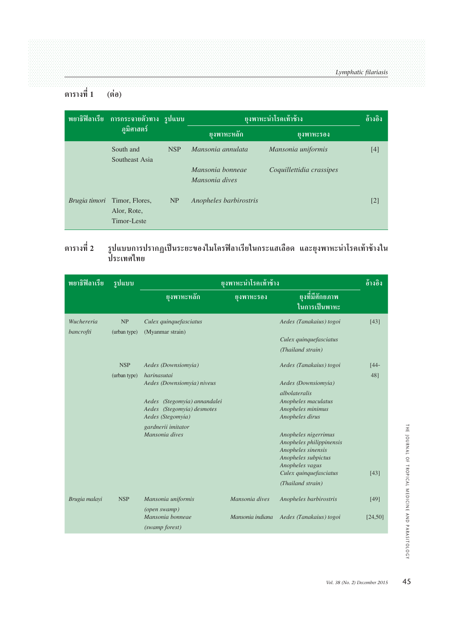ัตารางที่ 1  $(\vec{p}|\vec{v})$ 

|               | ี พยาธิฟิลาเรีย การกระจายตัวทาง รูปแบบ<br>ภมิศาสตร์ |                | <u>ียุงพาหะนำโรคเท้าช้าง</u>       | อ้างอิง                  |                   |
|---------------|-----------------------------------------------------|----------------|------------------------------------|--------------------------|-------------------|
|               |                                                     |                | ยงพาหะหลัก                         | ยงพาหะรอง                |                   |
|               | South and<br>Southeast Asia                         | <b>NSP</b>     | Mansonia annulata                  | Mansonia uniformis       | [4]               |
|               |                                                     |                | Mansonia bonneae<br>Mansonia dives | Coquillettidia crassipes |                   |
| Brugia timori | Timor, Flores,<br>Alor, Rote,<br>Timor-Leste        | N <sub>P</sub> | Anopheles barbirostris             |                          | $\lceil 2 \rceil$ |

# รูปแบบการปรากฏเป็นระยะของไมโครฟิลาเรียในกระแสเลือด และยุงพาหะนำโรคเท้าช้างใน<br>ประเทศไทย ตารางที่ 2

| พยาธิฟิลาเรีย           | ฐปแบบ                      | <u>ียงพา</u> หะนำโรคเท้าช้าง                                                                                  |                  |                                                                                                                                                                 |               |  |  |
|-------------------------|----------------------------|---------------------------------------------------------------------------------------------------------------|------------------|-----------------------------------------------------------------------------------------------------------------------------------------------------------------|---------------|--|--|
|                         |                            | <u>้ยุงพาหะหลัก</u>                                                                                           | ยงพาหะรอง        | ยุงที่มีศักยภาพ<br>ในการเป็นพาหะ                                                                                                                                |               |  |  |
| Wuchereria<br>bancrofti | NP<br>(urban type)         | Culex quinquefasciatus<br>(Myanmar strain)                                                                    |                  | Aedes (Tanakaius) togoi                                                                                                                                         | [43]          |  |  |
|                         |                            |                                                                                                               |                  | Culex quinquefasciatus<br>(Thailand strain)                                                                                                                     |               |  |  |
|                         | <b>NSP</b><br>(urban type) | Aedes (Downsiomyia)<br>harinasutai                                                                            |                  | Aedes (Tanakaius) togoi                                                                                                                                         | $[44-$<br>48] |  |  |
|                         |                            | Aedes (Downsiomyia) niveus<br>Aedes (Stegomyia) annandalei<br>Aedes (Stegomyia) desmotes<br>Aedes (Stegomyia) |                  | Aedes (Downsiomyia)<br>albolateralis<br>Anopheles maculatus<br>Anopheles minimus<br>Anopheles dirus                                                             |               |  |  |
|                         |                            | gardnerii imitator<br>Mansonia dives                                                                          |                  | Anopheles nigerrimus<br>Anopheles philippinensis<br>Anopheles sinensis<br>Anopheles subpictus<br>Anopheles vagus<br>Culex quinquefasciatus<br>(Thailand strain) | [43]          |  |  |
| Brugia malayi           | <b>NSP</b>                 | Mansonia uniformis<br>(open swamp)                                                                            | Mansonia dives   | Anopheles barbirostris                                                                                                                                          | [49]          |  |  |
|                         |                            | Mansonia bonneae<br>(swamp forest)                                                                            | Mansonia indiana | Aedes (Tanakaius) togoi                                                                                                                                         | [24, 50]      |  |  |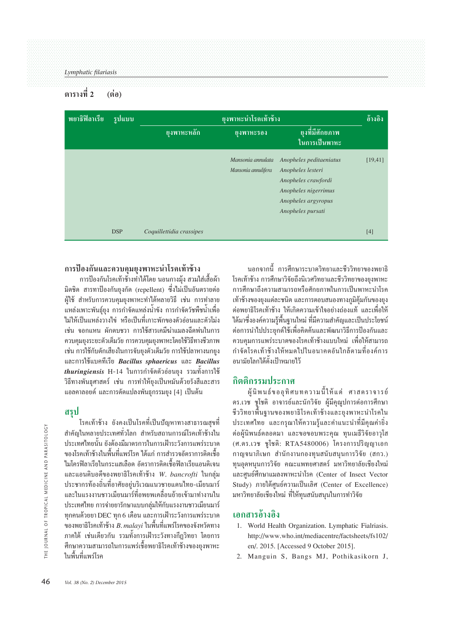ตารางที่ 2  $(\vec{p}|\vec{v})$ 

| พยาธิฟิลาเรีย | ี รูปแบบ'  | ี่ยุงพาหะนำโรคเท้าช้าง   |                                          |                                                                                                                                         |          |  |
|---------------|------------|--------------------------|------------------------------------------|-----------------------------------------------------------------------------------------------------------------------------------------|----------|--|
|               |            | <u>้ยุงพาหะหลัก</u>      | ยงพาหะรอง                                | ยงที่มีศักยภาพ<br>ในการเป็นพาหะ                                                                                                         |          |  |
|               |            |                          | Mansonia annulata<br>Mansonia annulifera | Anopheles peditaeniatus<br>Anopheles lesteri<br>Anopheles crawfordi<br>Anopheles nigerrimus<br>Anopheles argyropus<br>Anopheles pursati | [19, 41] |  |
|               | <b>DSP</b> | Coquillettidia crassipes |                                          |                                                                                                                                         | $[4]$    |  |

## การป้องกันและควบคมยงพาหะนำโรคเท้าช้าง

ี การป้องกันโรคเท้าช้างท่ำได้โดย นอนกางม้ง สวมใส่เสื้อผ้า มิดชิด สารทาป้องกันยงกัด (repellent) ซึ่งไม่เป็นอันตรายต่อ ผู้ใช้ สำหรับการควบคุมยุงพาหะทำได้หลายวิธี เช่น การทำลาย ้<br>แหล่งเพาะพันธุ์ยุง การกำจัดแหล่งน้ำขัง การกำจัดวัชพืชน้ำเพื่อ ไม่ให้เป็นแหล่งวางไข่ หรือเป็นที่เกาะพักของตัวอ่อนและตัวโม่ง ้เช่น จอกแหน ผักตบชวา การใช้สารเคมีฆ่าแมลงฉีดพ่นในการ ้ควบคมยงระยะตัวเต็มวัย การควบคมยงพาหะโดยใช้วิธีทางชีวภาพ เช่น การใช้กับดักเสียงในการจับยุงตัวเต็มวัย การใช้ปลาหางนกยูง และการใช้แบคทีเรีย Bacillus sphaericus และ Bacillus thuringiensis H-14 ในการกำจัดตัวอ่อนยง รวมทั้งการใช้ วิธีทางพันธศาสตร์ เช่น การทำให้ยงเป็นหมันด้วยรังสีและสาร แอลคาลอยด์ และการดัดแปลงพันธกรรมยง [4] เป็นต้น

## สรป

โรคเท้าช้าง ยังคงเป็นโรคที่เป็นปัญหาทางสาธารณสขที่ ี่ สำคัญในหลายประเทศทั่วโลก สำหรับสถานการณ์โรคเท้าช้างใน ประเทศไทยนั้น ยังต้องมีมาตรการในการเฝ้าระวังการแพร่ระบาด ของโรคเท้าช้างในพื้นที่แพร่โรค ได้แก่ การสำรวจอัตราการติดเชื้อ ใมโครฟิลาเรียในกระแสเลือด อัตราการติดเชื้อฟิลาเรียแอนติเจน และแอนดิบอดีของพยาธิโรคเท้าช้าง W. bancrofti ในกลุ่ม ประชากรท้องถิ่นที่อาศัยอยู่บริเวณแนวชายแดนไทย-เมียนมาร์ และในแรงงานชาวเมียนมาร์ที่อพยพเคลื่อนย้ายเข้ามาทำงานใน ประเทศไทย การจ่ายยารักษาแบบกล่มให้กับแรงงานชาวเมียนมาร์ ทุกคนด้วยยา DEC ทุก 6 เดือน และการเฝ้าระวังการแพร่ระบาด ์<br>ของพยาธิโรคเท้าช้าง B.malavi ในพื้นที่แพร่โรคของจังหวัดทาง ภาคใต้ เช่นเดียวกัน รวมทั้งการเฝ้าระวังทางกีฏวิทยา โดยการ ศึกษาความสามารถในการแพร่เชื้อพยาธิโรคเท้าช้างของยงพาหะ ใบพื้นที่แพร่โรค

้นอกจากนี้ การศึกษาระบาดวิทยาและชีววิทยาของพยาธิ โรคเท้าช้าง การศึกษาวิจัยถึงนิเวศวิทยาและชีววิทยาของยงพาหะ ิการศึกษาถึงความสามารถหรือศักยภาพในการเป็นพาหะนำโรค เท้าช้างของยุงแต่ละชนิด และการตอบสนองทางภูมิคุ้มกันของยุง ต่อพยาธิโรคเท้าช้าง ให้เกิดความเข้าใจอย่างถ่องแท้ และเพื่อให้ ต่อการนำไปประยุกต์ใช้เพื่อคิดค้นและพัฒนาวิธีการป้องกันและ ้ควบคุมการแพร่ระบาดของโรคเท้าช้างแบบใหม่ เพื่อให้สามารถ ี<br>กำจัดโรคเท้าช้างให้หมดไปในอนาคตอันใกล้ตามที่องค์การ ลบาบัยโลกได้ตั้งเป้าหบายไว้

## กิตติกรรมประกาศ

ผู้นิพนธ์ขออุทิศบทความนี้ให้แด่ ศาสตราจารย์ ดร.เวช ชูโชติ อาจารย์และนักวิจัย ผู้มีคุณูปการต่อการศึกษา ชีววิทยาพื้นฐานของพยาธิโรคเท้าช้างและยุงพาหะนำโรคใน ประเทศไทย และกรุณาให้ความรู้และคำแนะนำที่มีคุณค่ายิ่ง ต่อผู้นิพนธ์ตลอดมา และขอขอบพระคุณ ทุนเมธีวิจัยอาวุโส (ศ.ดร.เวช ชูโชติ: RTA5480006) โครงการปริญญาเอก ึกาญจนาภิเษก สำนักงานกองทนสนับสนนการวิจัย (สกว.) ทนอดหนนการวิจัย คณะแพทยศาสตร์ มหาวิทยาลัยเชียงใหม่ และศูนย์ศึกษาแมลงพาหะนำโรค (Center of Insect Vector Study) ภายใต้ศูนย์ความเป็นเลิศ (Center of Excellence) ้มหาวิทยาลัยเชียงใหม่ ที่ให้ทุนสนับสนุนในการทำวิจัย

## ้เคกสารค้างคิง

- 1. World Health Organization. Lymphatic Fialriasis. http://www.who.int/mediacentre/factsheets/fs102/ en/, 2015. [Accessed 9 October 2015].
- 2. Manguin S, Bangs MJ, Pothikasikorn J,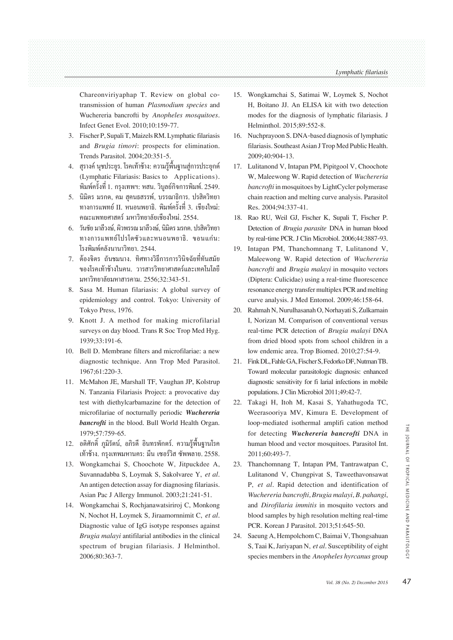Chareonviriyaphap T. Review on global cotransmission of human Plasmodium species and Wuchereria bancrofti by Anopheles mosquitoes. Infect Genet Evol. 2010;10:159-77.

- 3. Fischer P, Supali T, Maizels RM. Lymphatic filariasis and *Brugia timori*: prospects for elimination. Trends Parasitol. 2004:20:351-5.
- 4. สรางค์ นชประยร. โรคเท้าช้าง: ความรัพื้นจานส่การประยกต์ (Lymphatic Filariasis: Basics to Applications). พิมพ์ครั้งที่ 1. กรุงเทพฯ: หสน. วิบูลย์กิจการพิมพ์. 2549.
- 5. นิมิตร มรกต. คม สคนธสรรพ์. บรรณาธิการ. ปรสิตวิทยา ์ ทางการแพทย์ II, หนอนพยาธิ, พิมพ์ครั้งที่ 3, เชียงใหม่: ึคณะแพทยศาสตร์ มหาวิทยาลัยเชียงใหม่. 2554.
- 6. วันชัย มาถีวงษ์. ผิวพรรณ มาถีวงษ์. นิมิตร มรกต. ปรสิตวิทยา ทางการแพทย์โปรโตซัวและหนอนพยาธิ. ขอนแก่น: โรงพิมพ์คลังนานาวิทยา, 2544,
- 7. ต้องจิตร ถันชมนาง. ทิศทางวิธีการการวินิจฉัยที่ทันสมัย ของโรคเท้าช้างในคน. วารสารวิทยาศาสตร์และเทคโนโลยี มหาวิทยาลัยมหาสารคาม. 2556:32:343-51.
- 8. Sasa M. Human filariasis: A global survey of epidemiology and control. Tokyo: University of Tokyo Press, 1976.
- 9. Knott J. A method for making microfilarial surveys on day blood. Trans R Soc Trop Med Hyg. 1939;33:191-6.
- 10. Bell D. Membrane filters and microfilariae: a new diagnostic technique. Ann Trop Med Parasitol.  $1967:61:220-3$
- 11. McMahon JE, Marshall TF, Vaughan JP, Kolstrup N. Tanzania Filariasis Project: a provocative day test with diethylcarbamazine for the detection of microfilariae of nocturnally periodic Wuchereria **bancrofti** in the blood. Bull World Health Organ. 1979:57:759-65.
- 12. อดิศักดิ์ ภูมิรัตน์, อภิรดี อินทรพักตร์. ความรู้พื้นฐานโรค เท้าช้าง. กรงเทพมหานคร: มีน เซอร์วิส ซัพพลาย. 2558.
- 13. Wongkamchai S, Choochote W, Jitpuckdee A, Suvannadabba S, Loymak S, Sakolvaree Y, et al. An antigen detection assay for diagnosing filariasis. Asian Pac J Allergy Immunol. 2003;21:241-51.
- 14. Wongkamchai S, Rochjanawatsiriroj C, Monkong N, Nochot H, Loymek S, Jiraamornnimit C, et al. Diagnostic value of IgG isotype responses against Brugia malayi antifilarial antibodies in the clinical spectrum of brugian filariasis. J Helminthol. 2006:80:363-7.
- 15. Wongkamchai S, Satimai W, Loymek S, Nochot H, Boitano JJ. An ELISA kit with two detection modes for the diagnosis of lymphatic filariasis. J Helminthol. 2015;89:552-8.
- 16. Nuchprayoon S. DNA-based diagnosis of lymphatic filariasis. Southeast Asian J Trop Med Public Health.  $2009:40:904-13$
- 17. Lulitanond V, Intapan PM, Pipitgool V, Choochote W, Maleewong W. Rapid detection of Wuchereria bancrofti in mosquitoes by LightCycler polymerase chain reaction and melting curve analysis. Parasitol Res. 2004;94:337-41.
- 18. Rao RU, Weil GJ, Fischer K, Supali T, Fischer P. Detection of *Brugia parasite* DNA in human blood by real-time PCR. J Clin Microbiol. 2006:44:3887-93.
- $19.$ Intapan PM, Thanchomnang T, Lulitanond V, Maleewong W. Rapid detection of Wuchereria bancrofti and Brugia malayi in mosquito vectors (Diptera: Culicidae) using a real-time fluorescence resonance energy transfer multiplex PCR and melting curve analysis. J Med Entomol. 2009;46:158-64.
- 20. Rahmah N, Nurulhasanah O, Norhayati S, Zulkarnain I, Norizan M. Comparison of conventional versus real-time PCR detection of *Brugia malavi* DNA from dried blood spots from school children in a low endemic area. Trop Biomed. 2010;27:54-9.
- 21. Fink DL, Fahle GA, Fischer S, Fedorko DF, Nutman TB. Toward molecular parasitologic diagnosis: enhanced diagnostic sensitivity for fi larial infections in mobile populations. J Clin Microbiol 2011;49:42-7.
- 22. Takagi H, Itoh M, Kasai S, Yahathugoda TC, Weerasooriya MV, Kimura E. Development of loop-mediated isothermal amplifi cation method for detecting Wuchereria bancrofti DNA in human blood and vector mosquitoes. Parasitol Int. 2011;60:493-7.
- 23. Thanchomnang T, Intapan PM, Tantrawatpan C, Lulitanond V, Chungpivat S, Taweethavonsawat P, et al. Rapid detection and identification of Wuchereria bancrofti, Brugia malayi, B. pahangi, and *Dirofilaria immitis* in mosquito vectors and blood samples by high resolution melting real-time PCR. Korean J Parasitol. 2013;51:645-50.
- 24. Saeung A, Hempolchom C, Baimai V, Thongsahuan S. Taai K. Jariyapan N. et al. Susceptibility of eight species members in the Anopheles hyrcanus group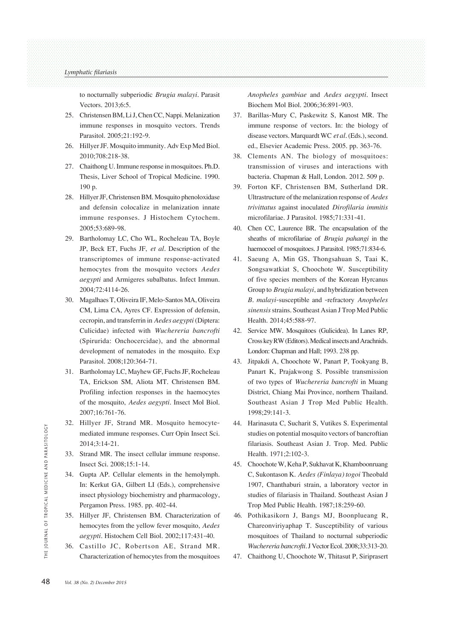to nocturnally subperiodic Brugia malayi. Parasit Vectors, 2013;6:5.

- 25. Christensen BM, Li J, Chen CC, Nappi, Melanization immune responses in mosquito vectors. Trends Parasitol. 2005;21:192-9.
- 26. Hillyer JF. Mosquito immunity. Adv Exp Med Biol. 2010:708:218-38.
- 27. Chaithong U. Immune response in mosquitoes, Ph.D. Thesis, Liver School of Tropical Medicine. 1990. 190 p.
- 28. Hillyer JF, Christensen BM. Mosquito phenoloxidase and defensin colocalize in melanization innate immune responses. J Histochem Cytochem. 2005;53:689-98.
- 29. Bartholomay LC, Cho WL, Rocheleau TA, Boyle JP, Beck ET, Fuchs JF, et al. Description of the transcriptomes of immune response-activated hemocytes from the mosquito vectors Aedes *aegypti* and Armigeres subalbatus. Infect Immun. 2004:72:4114-26.
- 30. Magalhaes T, Oliveira IF, Melo-Santos MA, Oliveira CM, Lima CA, Ayres CF. Expression of defensin, cecropin, and transferrin in Aedes aegypti (Diptera: Culicidae) infected with *Wuchereria bancrofti* (Spirurida: Onchocercidae), and the abnormal development of nematodes in the mosquito. Exp Parasitol. 2008;120:364-71.
- 31. Bartholomay LC, Mayhew GF, Fuchs JF, Rocheleau TA, Erickson SM, Aliota MT, Christensen BM, Profiling infection responses in the haemocytes of the mosquito, Aedes aegypti. Insect Mol Biol. 2007:16:761-76.
- 32. Hillyer JF, Strand MR. Mosquito hemocytemediated immune responses. Curr Opin Insect Sci. 2014:3:14-21.
- 33. Strand MR. The insect cellular immune response. Insect Sci. 2008:15:1-14.
- 34. Gupta AP. Cellular elements in the hemolymph. In: Kerkut GA, Gilbert LI (Eds.), comprehensive insect physiology biochemistry and pharmacology, Pergamon Press. 1985. pp. 402-44. 48 *Vol. 38 (No. 2) December 2015* THE JOURNAL OF TROPICAL MEDICINE AND PARASITOLOGY
	- 35. Hillyer JF, Christensen BM. Characterization of hemocytes from the yellow fever mosquito, Aedes *aegypti*. Histochem Cell Biol. 2002;117:431-40.
	- 36. Castillo JC, Robertson AE, Strand MR. Characterization of hemocytes from the mosquitoes

*Anopheles gambiae* and *Aedes aegypti*. Insect Biochem Mol Biol. 2006;36:891-903.

- 37. Barillas-Mury C. Paskewitz S. Kanost MR. The immune response of vectors. In: the biology of disease vectors. Marquardt WC et al. (Eds.), second. ed., Elsevier Academic Press. 2005. pp. 363-76.
- 38. Clements AN. The biology of mosquitoes: transmission of viruses and interactions with bacteria. Chapman & Hall, London. 2012. 509 p.
- 39. Forton KF, Christensen BM, Sutherland DR. Ultrastructure of the melanization response of *Aedes trivittatus* against inoculated *Dirofilaria immitis* microfilariae. J Parasitol. 1985:71:331-41.
- 40. Chen CC, Laurence BR. The encapsulation of the sheaths of microfilariae of *Brugia pahangi* in the haemocoel of mosquitoes. J Parasitol. 1985;71:834-6.
- 41. Saeung A, Min GS, Thongsahuan S, Taai K, Songsawatkiat S, Choochote W. Susceptibility of five species members of the Korean Hyrcanus Group to *Brugia malayi*, and hybridization between *B. malayi*-susceptible and -refractory *Anopheles* sinensis strains. Southeast Asian J Trop Med Public Health. 2014;45:588-97.
- 42. Service MW. Mosquitoes (Gulicidea). In Lanes RP. Cross key RW (Editors). Medical insects and Arachnids. London: Chapman and Hall; 1993. 238 pp.
- 43. Jitpakdi A, Choochote W, Panart P, Tookyang B, Panart K. Prajakwong S. Possible transmission of two types of *Wuchereria bancrofti* in Muang District, Chiang Mai Province, northern Thailand. Southeast Asian J Trop Med Public Health. 1998:29:141-3.
- 44. Harinasuta C, Sucharit S, Vutikes S. Experimental studies on potential mosquito vectors of bancroftian filariasis. Southeast Asian J. Trop. Med. Public Health. 1971;2:102-3.
- 45. Choochote W, Keha P, Sukhavat K, Khamboonruang C, Sukontason K. Aedes (Finlaya) togoi Theobald 1907, Chanthaburi strain, a laboratory vector in studies of filariasis in Thailand. Southeast Asian J Trop Med Public Health, 1987;18:259-60.
- 46. Pothikasikorn J, Bangs MJ, Boonplueang R, Chareonviriyaphap T. Susceptibility of various mosquitoes of Thailand to nocturnal subperiodic *Wuchereria bancrofti.* J Vector Ecol. 2008:33:313-20.
- 47. Chaithong U, Choochote W, Thitasut P, Siriprasert